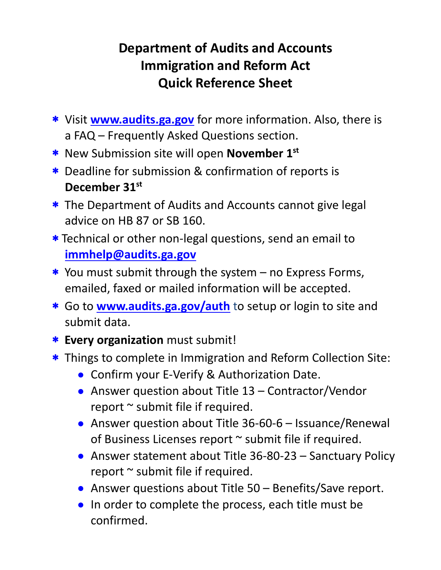## **Department of Audits and Accounts Immigration and Reform Act Quick Reference Sheet**

- Visit **[www.audits.ga.gov](http://www.audits.ga.gov/)** for more information. Also, there is a FAQ – Frequently Asked Questions section.
- New Submission site will open **November 1st**
- Deadline for submission & confirmation of reports is **December 31st**
- \* The Department of Audits and Accounts cannot give legal advice on HB 87 or SB 160.
- \* Technical or other non-legal questions, send an email to **[immhelp@audits.ga.gov](mailto:immhelp@audits.ga.gov)**
- \* You must submit through the system no Express Forms, emailed, faxed or mailed information will be accepted.
- Go to **[www.audits.ga.gov/auth](http://www.audits.ga.gov/auth)** to setup or login to site and submit data.
- **Every organization** must submit!
- \* Things to complete in Immigration and Reform Collection Site:
	- Confirm your E-Verify & Authorization Date.
	- Answer question about Title 13 Contractor/Vendor report ~ submit file if required.
	- Answer question about Title 36-60-6 Issuance/Renewal of Business Licenses report ~ submit file if required.
	- Answer statement about Title 36-80-23 Sanctuary Policy report  $\sim$  submit file if required.
	- Answer questions about Title 50 Benefits/Save report.
	- In order to complete the process, each title must be confirmed.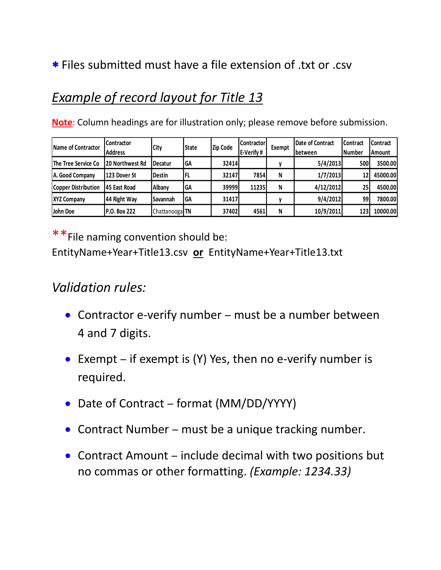#### Files submitted must have a file extension of .txt or .csv

## *Example of record layout for Title 13*

**Note**: Column headings are for illustration only; please remove before submission.

| Name of Contractor  | Contractor       | City             | <b>State</b> | Zip Code | <b>Contractor</b> | Exempt | Date of Contract | <b>Contract</b> | <b>Contract</b> |
|---------------------|------------------|------------------|--------------|----------|-------------------|--------|------------------|-----------------|-----------------|
|                     | <b>Address</b>   |                  |              |          | E-Verify#         |        | between          | <b>Number</b>   | Amount          |
| The Tree Service Co | 120 Northwest Rd | <b>I</b> Decatur | <b>GA</b>    | 32414    |                   |        | 5/4/2013         | <b>500</b>      | 3500.00         |
| A. Good Company     | 123 Dover St     | <b>Destin</b>    | I FL         | 32147    | 7854              | N      | 1/7/2013         | 12              | 45000.00        |
| Copper Distribution | 145 East Road    | Albany           | GA           | 39999    | 11235             | N      | 4/12/2012        | 25              | 4500.00         |
| <b>XYZ Company</b>  | 144 Right Way    | <b>Savannah</b>  | GA           | 31417    |                   |        | 9/4/2012         | 99              | 7800.00         |
| John Doe            | IP.O. Box 222    | Chattanooga TN   |              | 37402    | 4561              | N      | 10/9/2011        | 123             | 10000.00        |

\*\*File naming convention should be:

EntityName+Year+Title13.csv **or** EntityName+Year+Title13.txt

#### *Validation rules:*

- Contractor e-verify number must be a number between 4 and 7 digits.
- Exempt if exempt is  $(Y)$  Yes, then no e-verify number is required.
- Date of Contract format (MM/DD/YYYY)
- Contract Number must be a unique tracking number.
- Contract Amount include decimal with two positions but no commas or other formatting. *(Example: 1234.33)*